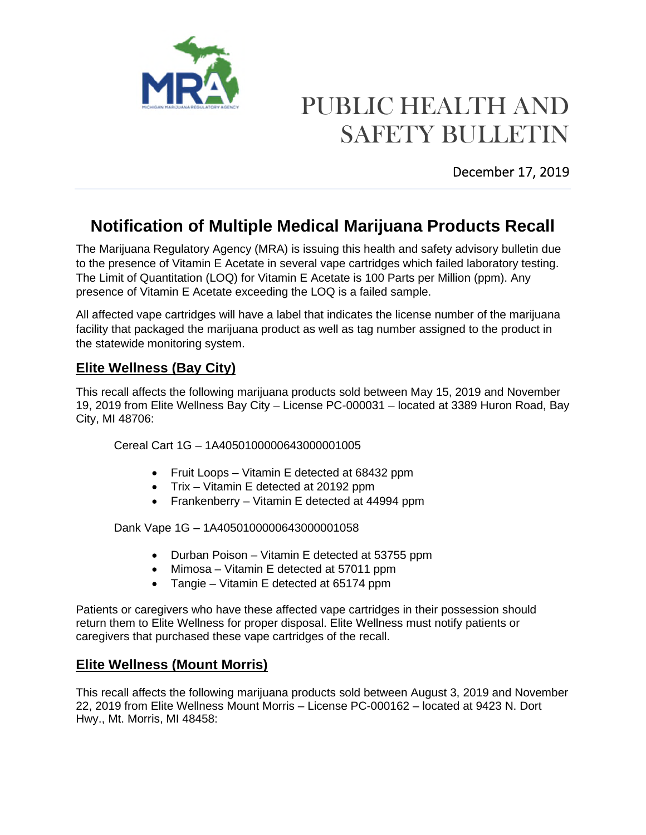

# PUBLIC HEALTH AND SAFETY BULLETIN

December 17, 2019

## **Notification of Multiple Medical Marijuana Products Recall**

The Marijuana Regulatory Agency (MRA) is issuing this health and safety advisory bulletin due to the presence of Vitamin E Acetate in several vape cartridges which failed laboratory testing. The Limit of Quantitation (LOQ) for Vitamin E Acetate is 100 Parts per Million (ppm). Any presence of Vitamin E Acetate exceeding the LOQ is a failed sample.

All affected vape cartridges will have a label that indicates the license number of the marijuana facility that packaged the marijuana product as well as tag number assigned to the product in the statewide monitoring system.

### **Elite Wellness (Bay City)**

This recall affects the following marijuana products sold between May 15, 2019 and November 19, 2019 from Elite Wellness Bay City – License PC-000031 – located at 3389 Huron Road, Bay City, MI 48706:

Cereal Cart 1G – 1A4050100000643000001005

- Fruit Loops Vitamin E detected at 68432 ppm
- Trix Vitamin E detected at 20192 ppm
- Frankenberry Vitamin E detected at 44994 ppm

Dank Vape 1G – 1A4050100000643000001058

- Durban Poison Vitamin E detected at 53755 ppm
- Mimosa Vitamin E detected at 57011 ppm
- Tangie Vitamin E detected at 65174 ppm

Patients or caregivers who have these affected vape cartridges in their possession should return them to Elite Wellness for proper disposal. Elite Wellness must notify patients or caregivers that purchased these vape cartridges of the recall.

### **Elite Wellness (Mount Morris)**

This recall affects the following marijuana products sold between August 3, 2019 and November 22, 2019 from Elite Wellness Mount Morris – License PC-000162 – located at 9423 N. Dort Hwy., Mt. Morris, MI 48458: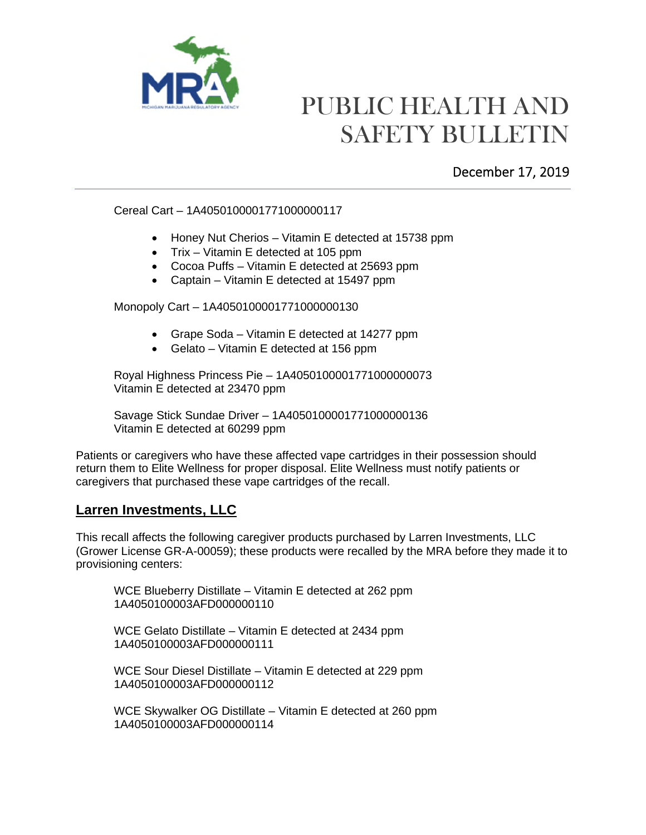

## PUBLIC HEALTH AND SAFETY BULLETIN

### December 17, 2019

#### Cereal Cart – 1A4050100001771000000117

- Honey Nut Cherios Vitamin E detected at 15738 ppm
- Trix Vitamin E detected at 105 ppm
- Cocoa Puffs Vitamin E detected at 25693 ppm
- Captain Vitamin E detected at 15497 ppm

#### Monopoly Cart – 1A4050100001771000000130

- Grape Soda Vitamin E detected at 14277 ppm
- Gelato Vitamin E detected at 156 ppm

Royal Highness Princess Pie – 1A4050100001771000000073 Vitamin E detected at 23470 ppm

Savage Stick Sundae Driver – 1A4050100001771000000136 Vitamin E detected at 60299 ppm

Patients or caregivers who have these affected vape cartridges in their possession should return them to Elite Wellness for proper disposal. Elite Wellness must notify patients or caregivers that purchased these vape cartridges of the recall.

#### **Larren Investments, LLC**

This recall affects the following caregiver products purchased by Larren Investments, LLC (Grower License GR-A-00059); these products were recalled by the MRA before they made it to provisioning centers:

WCE Blueberry Distillate – Vitamin E detected at 262 ppm 1A4050100003AFD000000110

WCE Gelato Distillate – Vitamin E detected at 2434 ppm 1A4050100003AFD000000111

WCE Sour Diesel Distillate – Vitamin E detected at 229 ppm 1A4050100003AFD000000112

WCE Skywalker OG Distillate – Vitamin E detected at 260 ppm 1A4050100003AFD000000114